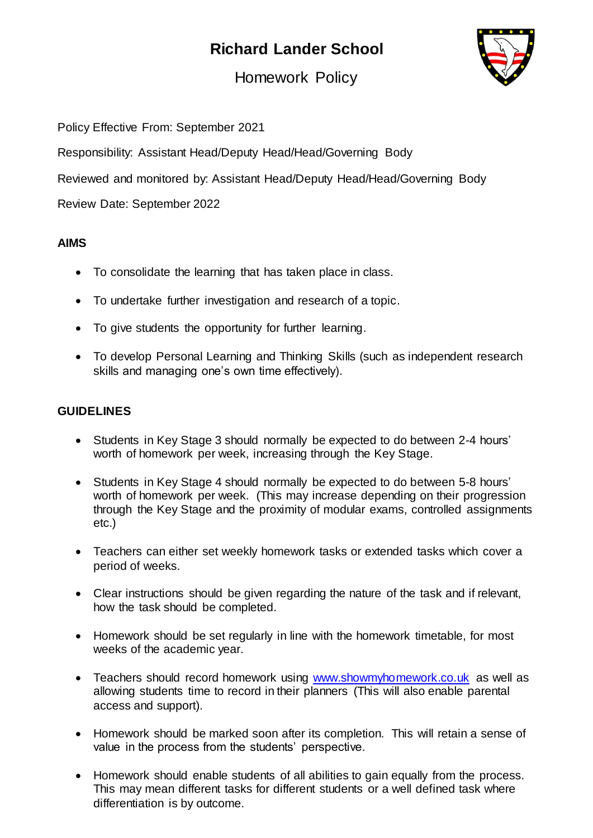# **Richard Lander School**



Homework Policy

Policy Effective From: September 2021

Responsibility: Assistant Head/Deputy Head/Head/Governing Body

Reviewed and monitored by: Assistant Head/Deputy Head/Head/Governing Body

Review Date: September 2022

# **AIMS**

- To consolidate the learning that has taken place in class.
- To undertake further investigation and research of a topic.
- To give students the opportunity for further learning.
- To develop Personal Learning and Thinking Skills (such as independent research skills and managing one's own time effectively).

### **GUIDELINES**

- Students in Key Stage 3 should normally be expected to do between 2-4 hours' worth of homework per week, increasing through the Key Stage.
- Students in Key Stage 4 should normally be expected to do between 5-8 hours' worth of homework per week. (This may increase depending on their progression through the Key Stage and the proximity of modular exams, controlled assignments etc.)
- Teachers can either set weekly homework tasks or extended tasks which cover a period of weeks.
- Clear instructions should be given regarding the nature of the task and if relevant, how the task should be completed.
- Homework should be set regularly in line with the homework timetable, for most weeks of the academic year.
- Teachers should record homework using [www.showmyhomework.co.uk](http://www.showmyhomework.co.uk/) as well as allowing students time to record in their planners (This will also enable parental access and support).
- Homework should be marked soon after its completion. This will retain a sense of value in the process from the students' perspective.
- Homework should enable students of all abilities to gain equally from the process. This may mean different tasks for different students or a well defined task where differentiation is by outcome.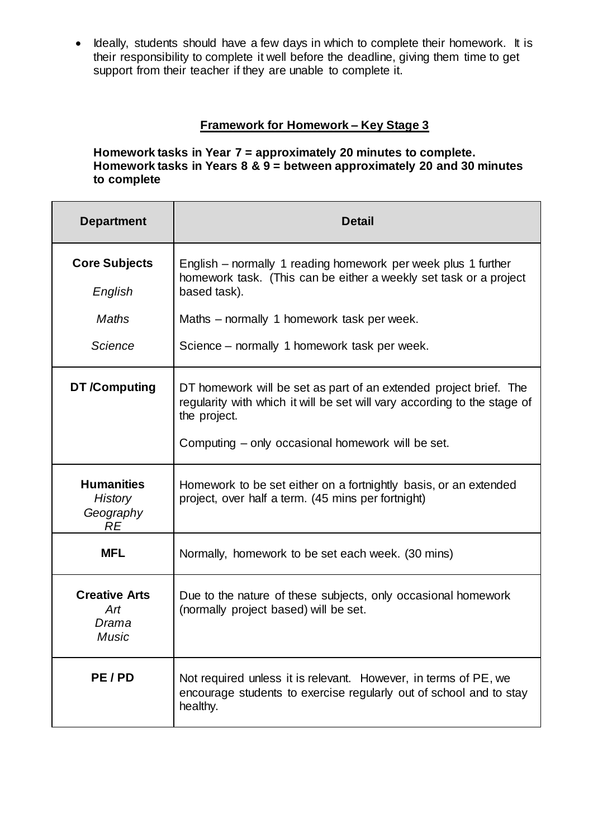• Ideally, students should have a few days in which to complete their homework. It is their responsibility to complete it well before the deadline, giving them time to get support from their teacher if they are unable to complete it.

# **Framework for Homework – Key Stage 3**

**Homework tasks in Year 7 = approximately 20 minutes to complete. Homework tasks in Years 8 & 9 = between approximately 20 and 30 minutes to complete**

| <b>Department</b>                                             | <b>Detail</b>                                                                                                                                                                                                                                    |
|---------------------------------------------------------------|--------------------------------------------------------------------------------------------------------------------------------------------------------------------------------------------------------------------------------------------------|
| <b>Core Subjects</b><br>English<br>Maths<br>Science           | English – normally 1 reading homework per week plus 1 further<br>homework task. (This can be either a weekly set task or a project<br>based task).<br>Maths – normally 1 homework task per week.<br>Science – normally 1 homework task per week. |
| DT /Computing                                                 | DT homework will be set as part of an extended project brief. The<br>regularity with which it will be set will vary according to the stage of<br>the project.<br>Computing – only occasional homework will be set.                               |
| <b>Humanities</b><br><b>History</b><br>Geography<br><b>RE</b> | Homework to be set either on a fortnightly basis, or an extended<br>project, over half a term. (45 mins per fortnight)                                                                                                                           |
| <b>MFL</b>                                                    | Normally, homework to be set each week. (30 mins)                                                                                                                                                                                                |
| <b>Creative Arts</b><br>Art<br>Drama<br>Music                 | Due to the nature of these subjects, only occasional homework<br>(normally project based) will be set.                                                                                                                                           |
| PE/PD                                                         | Not required unless it is relevant. However, in terms of PE, we<br>encourage students to exercise regularly out of school and to stay<br>healthy.                                                                                                |